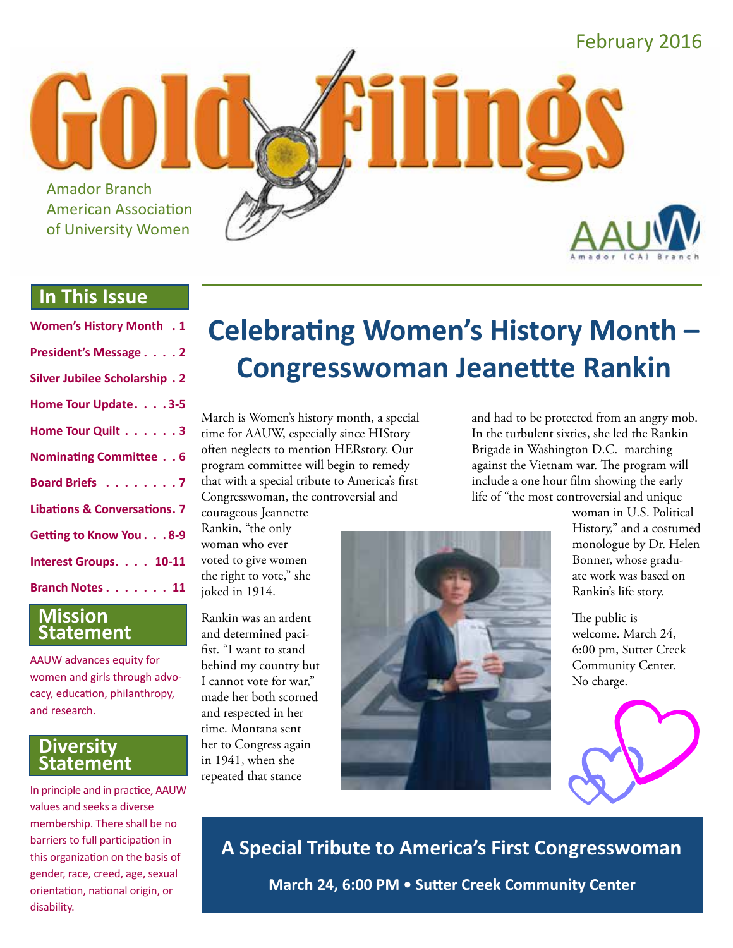

# **In This Issue**

| <b>Women's History Month . 1</b>        |
|-----------------------------------------|
| President's Message 2                   |
| <b>Silver Jubilee Scholarship. 2</b>    |
| Home Tour Update. 3-5                   |
| Home Tour Quilt 3                       |
| Nominating Committee 6                  |
| Board Briefs 7                          |
| <b>Libations &amp; Conversations. 7</b> |
| Getting to Know You. 8-9                |
| Interest Groups. 10-11                  |
| Branch Notes 11                         |
|                                         |

#### **Mission Statement**

AAUW advances equity for women and girls through advocacy, education, philanthropy, and research.

#### **Diversity Statement**

In principle and in practice, AAUW values and seeks a diverse membership. There shall be no barriers to full participation in this organization on the basis of gender, race, creed, age, sexual orientation, national origin, or disability.

# **Celebrating Women's History Month – Congresswoman Jeanettte Rankin**

March is Women's history month, a special time for AAUW, especially since HIStory often neglects to mention HERstory. Our program committee will begin to remedy that with a special tribute to America's first Congresswoman, the controversial and

courageous Jeannette Rankin, "the only woman who ever voted to give women the right to vote," she joked in 1914.

Rankin was an ardent and determined pacifist. "I want to stand behind my country but I cannot vote for war," made her both scorned and respected in her time. Montana sent her to Congress again in 1941, when she repeated that stance



and had to be protected from an angry mob. In the turbulent sixties, she led the Rankin Brigade in Washington D.C. marching against the Vietnam war. The program will include a one hour film showing the early life of "the most controversial and unique

> woman in U.S. Political History," and a costumed monologue by Dr. Helen Bonner, whose graduate work was based on Rankin's life story.

The public is welcome. March 24, 6:00 pm, Sutter Creek Community Center. No charge.



**A Special Tribute to America's First Congresswoman March 24, 6:00 PM • Sutter Creek Community Center**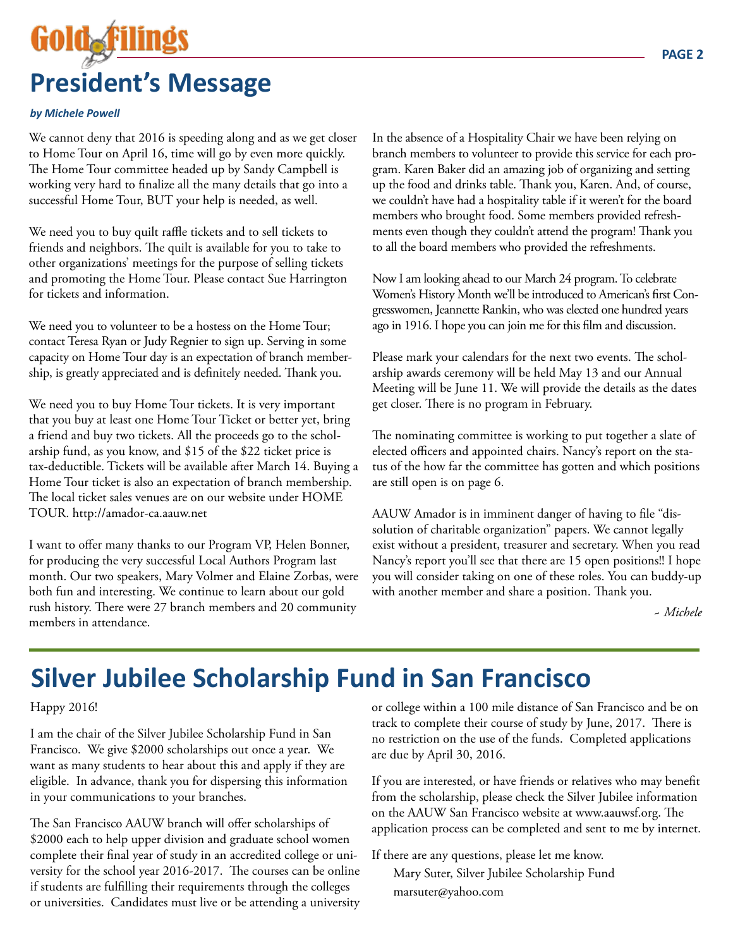# **President's Message**

#### *by Michele Powell*

We cannot deny that 2016 is speeding along and as we get closer to Home Tour on April 16, time will go by even more quickly. The Home Tour committee headed up by Sandy Campbell is working very hard to finalize all the many details that go into a successful Home Tour, BUT your help is needed, as well.

We need you to buy quilt raffle tickets and to sell tickets to friends and neighbors. The quilt is available for you to take to other organizations' meetings for the purpose of selling tickets and promoting the Home Tour. Please contact Sue Harrington for tickets and information.

We need you to volunteer to be a hostess on the Home Tour; contact Teresa Ryan or Judy Regnier to sign up. Serving in some capacity on Home Tour day is an expectation of branch membership, is greatly appreciated and is definitely needed. Thank you.

We need you to buy Home Tour tickets. It is very important that you buy at least one Home Tour Ticket or better yet, bring a friend and buy two tickets. All the proceeds go to the scholarship fund, as you know, and \$15 of the \$22 ticket price is tax-deductible. Tickets will be available after March 14. Buying a Home Tour ticket is also an expectation of branch membership. The local ticket sales venues are on our website under HOME TOUR. http://amador-ca.aauw.net

I want to offer many thanks to our Program VP, Helen Bonner, for producing the very successful Local Authors Program last month. Our two speakers, Mary Volmer and Elaine Zorbas, were both fun and interesting. We continue to learn about our gold rush history. There were 27 branch members and 20 community members in attendance.

In the absence of a Hospitality Chair we have been relying on branch members to volunteer to provide this service for each program. Karen Baker did an amazing job of organizing and setting up the food and drinks table. Thank you, Karen. And, of course, we couldn't have had a hospitality table if it weren't for the board members who brought food. Some members provided refreshments even though they couldn't attend the program! Thank you to all the board members who provided the refreshments.

Now I am looking ahead to our March 24 program. To celebrate Women's History Month we'll be introduced to American's first Congresswomen, Jeannette Rankin, who was elected one hundred years ago in 1916. I hope you can join me for this film and discussion.

Please mark your calendars for the next two events. The scholarship awards ceremony will be held May 13 and our Annual Meeting will be June 11. We will provide the details as the dates get closer. There is no program in February.

The nominating committee is working to put together a slate of elected officers and appointed chairs. Nancy's report on the status of the how far the committee has gotten and which positions are still open is on page 6.

AAUW Amador is in imminent danger of having to file "dissolution of charitable organization" papers. We cannot legally exist without a president, treasurer and secretary. When you read Nancy's report you'll see that there are 15 open positions!! I hope you will consider taking on one of these roles. You can buddy-up with another member and share a position. Thank you.

 *~ Michele*

# **Silver Jubilee Scholarship Fund in San Francisco**

#### Happy 2016!

I am the chair of the Silver Jubilee Scholarship Fund in San Francisco. We give \$2000 scholarships out once a year. We want as many students to hear about this and apply if they are eligible. In advance, thank you for dispersing this information in your communications to your branches.

The San Francisco AAUW branch will offer scholarships of \$2000 each to help upper division and graduate school women complete their final year of study in an accredited college or university for the school year 2016-2017. The courses can be online if students are fulfilling their requirements through the colleges or universities. Candidates must live or be attending a university or college within a 100 mile distance of San Francisco and be on track to complete their course of study by June, 2017. There is no restriction on the use of the funds. Completed applications are due by April 30, 2016.

If you are interested, or have friends or relatives who may benefit from the scholarship, please check the Silver Jubilee information on the AAUW San Francisco website at www.aauwsf.org. The application process can be completed and sent to me by internet.

If there are any questions, please let me know.

Mary Suter, Silver Jubilee Scholarship Fund marsuter@yahoo.com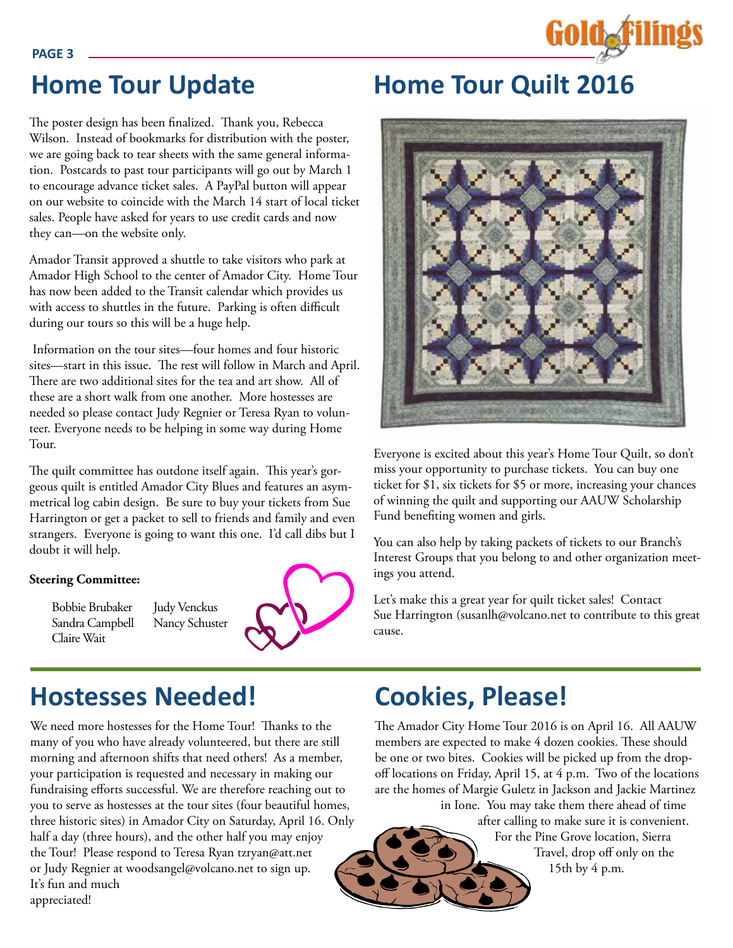

**PAGE 3**

The poster design has been finalized. Thank you, Rebecca Wilson. Instead of bookmarks for distribution with the poster, we are going back to tear sheets with the same general information. Postcards to past tour participants will go out by March 1 to encourage advance ticket sales. A PayPal button will appear on our website to coincide with the March 14 start of local ticket sales. People have asked for years to use credit cards and now they can—on the website only.

Amador Transit approved a shuttle to take visitors who park at Amador High School to the center of Amador City. Home Tour has now been added to the Transit calendar which provides us with access to shuttles in the future. Parking is often difficult during our tours so this will be a huge help.

 Information on the tour sites—four homes and four historic sites—start in this issue. The rest will follow in March and April. There are two additional sites for the tea and art show. All of these are a short walk from one another. More hostesses are needed so please contact Judy Regnier or Teresa Ryan to volunteer. Everyone needs to be helping in some way during Home Tour.

The quilt committee has outdone itself again. This year's gorgeous quilt is entitled Amador City Blues and features an asymmetrical log cabin design. Be sure to buy your tickets from Sue Harrington or get a packet to sell to friends and family and even strangers. Everyone is going to want this one. I'd call dibs but I doubt it will help.

> Judy Venckus Nancy Schuster

#### **Steering Committee:**

Bobbie Brubaker Sandra Campbell Claire Wait



# **Hostesses Needed! Cookies, Please!**

We need more hostesses for the Home Tour! Thanks to the many of you who have already volunteered, but there are still morning and afternoon shifts that need others! As a member, your participation is requested and necessary in making our fundraising efforts successful. We are therefore reaching out to you to serve as hostesses at the tour sites (four beautiful homes, three historic sites) in Amador City on Saturday, April 16. Only half a day (three hours), and the other half you may enjoy the Tour! Please respond to Teresa Ryan tzryan@att.net or Judy Regnier at woodsangel@volcano.net to sign up. It's fun and much appreciated!

# **Home Tour Update Home Tour Quilt 2016**



Everyone is excited about this year's Home Tour Quilt, so don't miss your opportunity to purchase tickets. You can buy one ticket for \$1, six tickets for \$5 or more, increasing your chances of winning the quilt and supporting our AAUW Scholarship Fund benefiting women and girls.

You can also help by taking packets of tickets to our Branch's Interest Groups that you belong to and other organization meetings you attend.

Let's make this a great year for quilt ticket sales! Contact Sue Harrington (susanlh@volcano.net to contribute to this great cause.

The Amador City Home Tour 2016 is on April 16. All AAUW members are expected to make 4 dozen cookies. These should be one or two bites. Cookies will be picked up from the dropoff locations on Friday, April 15, at 4 p.m. Two of the locations are the homes of Margie Guletz in Jackson and Jackie Martinez in Ione. You may take them there ahead of time

> after calling to make sure it is convenient. For the Pine Grove location, Sierra Travel, drop off only on the 15th by 4 p.m.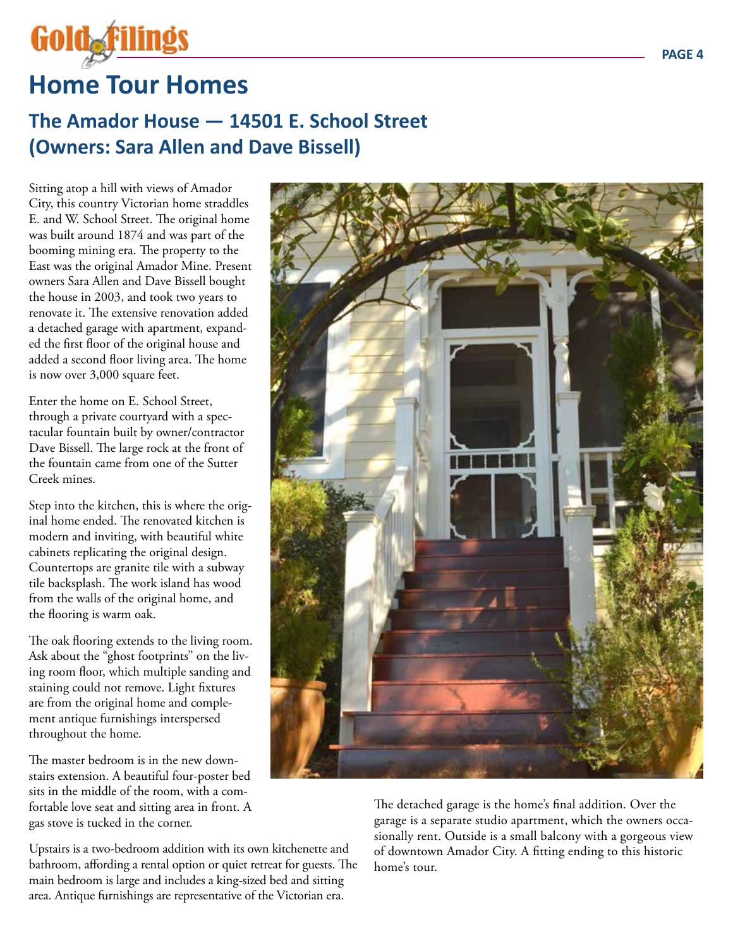

# **Home Tour Homes**

# **The Amador House — 14501 E. School Street (Owners: Sara Allen and Dave Bissell)**

Sitting atop a hill with views of Amador City, this country Victorian home straddles E. and W. School Street. The original home was built around 1874 and was part of the booming mining era. The property to the East was the original Amador Mine. Present owners Sara Allen and Dave Bissell bought the house in 2003, and took two years to renovate it. The extensive renovation added a detached garage with apartment, expanded the first floor of the original house and added a second floor living area. The home is now over 3,000 square feet.

Enter the home on E. School Street, through a private courtyard with a spectacular fountain built by owner/contractor Dave Bissell. The large rock at the front of the fountain came from one of the Sutter Creek mines.

Step into the kitchen, this is where the original home ended. The renovated kitchen is modern and inviting, with beautiful white cabinets replicating the original design. Countertops are granite tile with a subway tile backsplash. The work island has wood from the walls of the original home, and the flooring is warm oak.

The oak flooring extends to the living room. Ask about the "ghost footprints" on the living room floor, which multiple sanding and staining could not remove. Light fixtures are from the original home and complement antique furnishings interspersed throughout the home.

The master bedroom is in the new downstairs extension. A beautiful four-poster bed sits in the middle of the room, with a comfortable love seat and sitting area in front. A gas stove is tucked in the corner.

Upstairs is a two-bedroom addition with its own kitchenette and bathroom, affording a rental option or quiet retreat for guests. The main bedroom is large and includes a king-sized bed and sitting area. Antique furnishings are representative of the Victorian era.



The detached garage is the home's final addition. Over the garage is a separate studio apartment, which the owners occasionally rent. Outside is a small balcony with a gorgeous view of downtown Amador City. A fitting ending to this historic home's tour.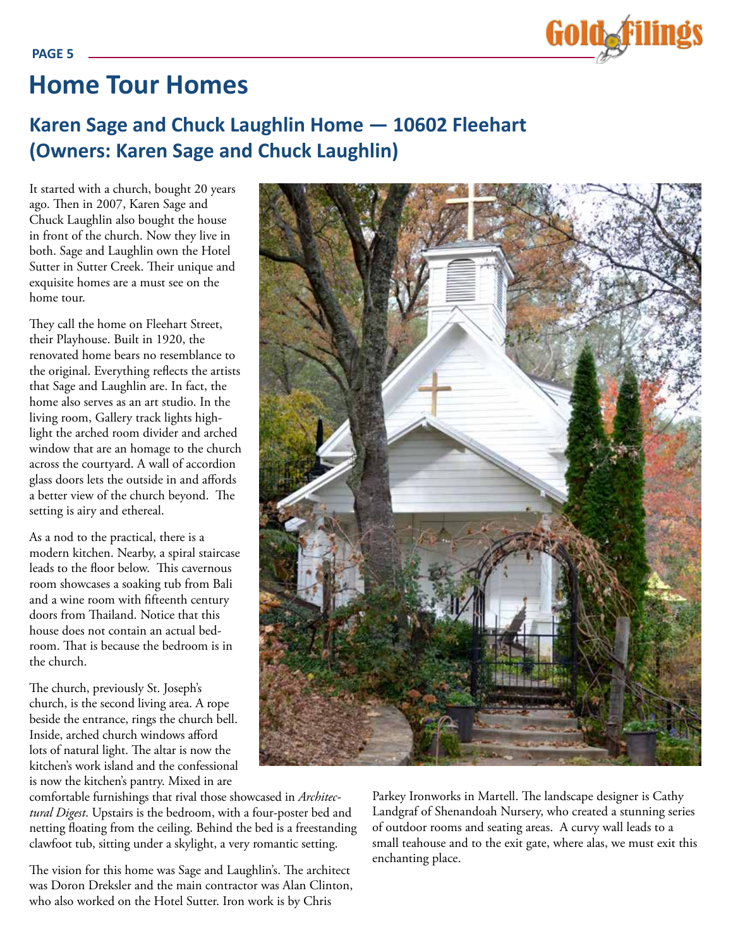

# **Home Tour Homes**

# **Karen Sage and Chuck Laughlin Home — 10602 Fleehart (Owners: Karen Sage and Chuck Laughlin)**

It started with a church, bought 20 years ago. Then in 2007, Karen Sage and Chuck Laughlin also bought the house in front of the church. Now they live in both. Sage and Laughlin own the Hotel Sutter in Sutter Creek. Their unique and exquisite homes are a must see on the home tour.

They call the home on Fleehart Street, their Playhouse. Built in 1920, the renovated home bears no resemblance to the original. Everything reflects the artists that Sage and Laughlin are. In fact, the home also serves as an art studio. In the living room, Gallery track lights highlight the arched room divider and arched window that are an homage to the church across the courtyard. A wall of accordion glass doors lets the outside in and affords a better view of the church beyond. The setting is airy and ethereal.

As a nod to the practical, there is a modern kitchen. Nearby, a spiral staircase leads to the floor below. This cavernous room showcases a soaking tub from Bali and a wine room with fifteenth century doors from Thailand. Notice that this house does not contain an actual bedroom. That is because the bedroom is in the church.

The church, previously St. Joseph's church, is the second living area. A rope beside the entrance, rings the church bell. Inside, arched church windows afford lots of natural light. The altar is now the kitchen's work island and the confessional is now the kitchen's pantry. Mixed in are

comfortable furnishings that rival those showcased in *Architectural Digest*. Upstairs is the bedroom, with a four-poster bed and netting floating from the ceiling. Behind the bed is a freestanding clawfoot tub, sitting under a skylight, a very romantic setting.

The vision for this home was Sage and Laughlin's. The architect was Doron Dreksler and the main contractor was Alan Clinton, who also worked on the Hotel Sutter. Iron work is by Chris

Parkey Ironworks in Martell. The landscape designer is Cathy Landgraf of Shenandoah Nursery, who created a stunning series of outdoor rooms and seating areas. A curvy wall leads to a small teahouse and to the exit gate, where alas, we must exit this enchanting place.

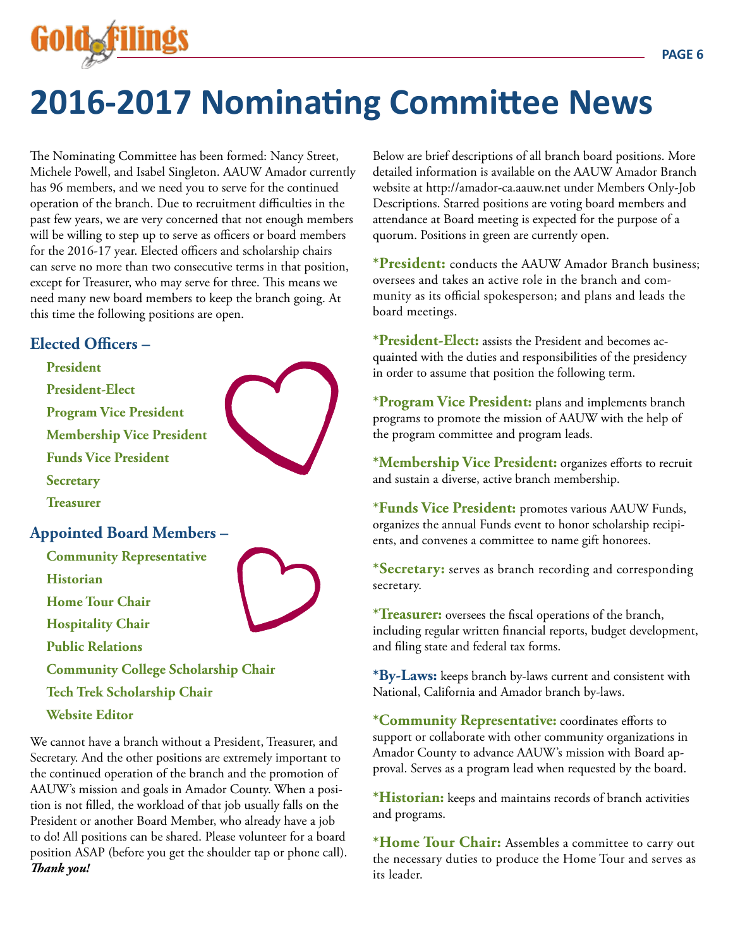

# **2016-2017 Nominating Committee News**

The Nominating Committee has been formed: Nancy Street, Michele Powell, and Isabel Singleton. AAUW Amador currently has 96 members, and we need you to serve for the continued operation of the branch. Due to recruitment difficulties in the past few years, we are very concerned that not enough members will be willing to step up to serve as officers or board members for the 2016-17 year. Elected officers and scholarship chairs can serve no more than two consecutive terms in that position, except for Treasurer, who may serve for three. This means we need many new board members to keep the branch going. At this time the following positions are open.

## **Elected Officers –**

**President President-Elect Program Vice President Membership Vice President Funds Vice President Secretary Treasurer Appointed Board Members – Community Representative Historian Home Tour Chair Hospitality Chair Public Relations Community College Scholarship Chair Tech Trek Scholarship Chair Website Editor**  We cannot have a branch without a President, Treasurer, and

Secretary. And the other positions are extremely important to the continued operation of the branch and the promotion of AAUW's mission and goals in Amador County. When a position is not filled, the workload of that job usually falls on the President or another Board Member, who already have a job to do! All positions can be shared. Please volunteer for a board position ASAP (before you get the shoulder tap or phone call). *Thank you!*

Below are brief descriptions of all branch board positions. More detailed information is available on the AAUW Amador Branch website at http://amador-ca.aauw.net under Members Only-Job Descriptions. Starred positions are voting board members and attendance at Board meeting is expected for the purpose of a quorum. Positions in green are currently open.

**\*President:** conducts the AAUW Amador Branch business; oversees and takes an active role in the branch and community as its official spokesperson; and plans and leads the board meetings.

**\*President-Elect:** assists the President and becomes acquainted with the duties and responsibilities of the presidency in order to assume that position the following term.

**\*Program Vice President:** plans and implements branch programs to promote the mission of AAUW with the help of the program committee and program leads.

**\*Membership Vice President:** organizes efforts to recruit and sustain a diverse, active branch membership.

**\*Funds Vice President:** promotes various AAUW Funds, organizes the annual Funds event to honor scholarship recipients, and convenes a committee to name gift honorees.

**\*Secretary:** serves as branch recording and corresponding secretary.

**\*Treasurer:** oversees the fiscal operations of the branch, including regular written financial reports, budget development, and filing state and federal tax forms.

**\*By-Laws:** keeps branch by-laws current and consistent with National, California and Amador branch by-laws.

**\*Community Representative:** coordinates efforts to support or collaborate with other community organizations in Amador County to advance AAUW's mission with Board approval. Serves as a program lead when requested by the board.

**\*Historian:** keeps and maintains records of branch activities and programs.

**\*Home Tour Chair:** Assembles a committee to carry out the necessary duties to produce the Home Tour and serves as its leader.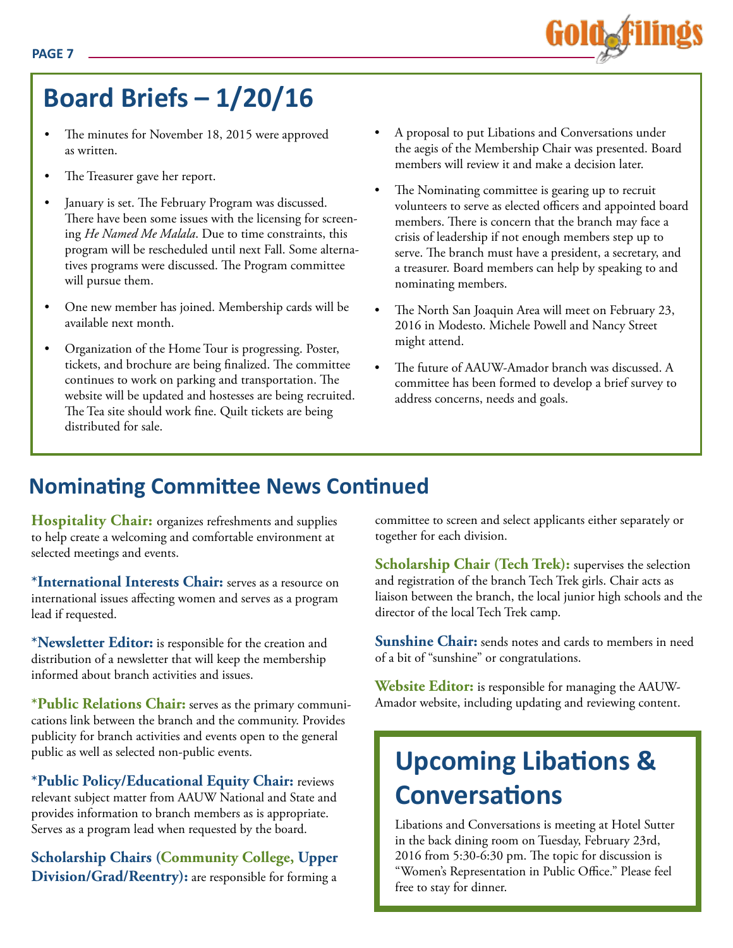# **Board Briefs – 1/20/16**

- The minutes for November 18, 2015 were approved as written.
- The Treasurer gave her report.
- January is set. The February Program was discussed. There have been some issues with the licensing for screening *He Named Me Malala*. Due to time constraints, this program will be rescheduled until next Fall. Some alternatives programs were discussed. The Program committee will pursue them.
- One new member has joined. Membership cards will be available next month.
- Organization of the Home Tour is progressing. Poster, tickets, and brochure are being finalized. The committee continues to work on parking and transportation. The website will be updated and hostesses are being recruited. The Tea site should work fine. Quilt tickets are being distributed for sale.
- A proposal to put Libations and Conversations under the aegis of the Membership Chair was presented. Board members will review it and make a decision later.
- The Nominating committee is gearing up to recruit volunteers to serve as elected officers and appointed board members. There is concern that the branch may face a crisis of leadership if not enough members step up to serve. The branch must have a president, a secretary, and a treasurer. Board members can help by speaking to and nominating members.
- The North San Joaquin Area will meet on February 23, 2016 in Modesto. Michele Powell and Nancy Street might attend.
- The future of AAUW-Amador branch was discussed. A committee has been formed to develop a brief survey to address concerns, needs and goals.

# **Nominating Committee News Continued**

**Hospitality Chair:** organizes refreshments and supplies to help create a welcoming and comfortable environment at selected meetings and events.

**\*International Interests Chair:** serves as a resource on international issues affecting women and serves as a program lead if requested.

**\*Newsletter Editor:** is responsible for the creation and distribution of a newsletter that will keep the membership informed about branch activities and issues.

**\*Public Relations Chair:** serves as the primary communications link between the branch and the community. Provides publicity for branch activities and events open to the general public as well as selected non-public events.

**\*Public Policy/Educational Equity Chair:** reviews relevant subject matter from AAUW National and State and provides information to branch members as is appropriate. Serves as a program lead when requested by the board.

**Scholarship Chairs (Community College, Upper Division/Grad/Reentry):** are responsible for forming a

committee to screen and select applicants either separately or together for each division.

**Scholarship Chair (Tech Trek):** supervises the selection and registration of the branch Tech Trek girls. Chair acts as liaison between the branch, the local junior high schools and the director of the local Tech Trek camp.

**Sunshine Chair:** sends notes and cards to members in need of a bit of "sunshine" or congratulations.

**Website Editor:** is responsible for managing the AAUW-Amador website, including updating and reviewing content.

# **Upcoming Libations & Conversations**

Libations and Conversations is meeting at Hotel Sutter in the back dining room on Tuesday, February 23rd, 2016 from 5:30-6:30 pm. The topic for discussion is "Women's Representation in Public Office." Please feel free to stay for dinner.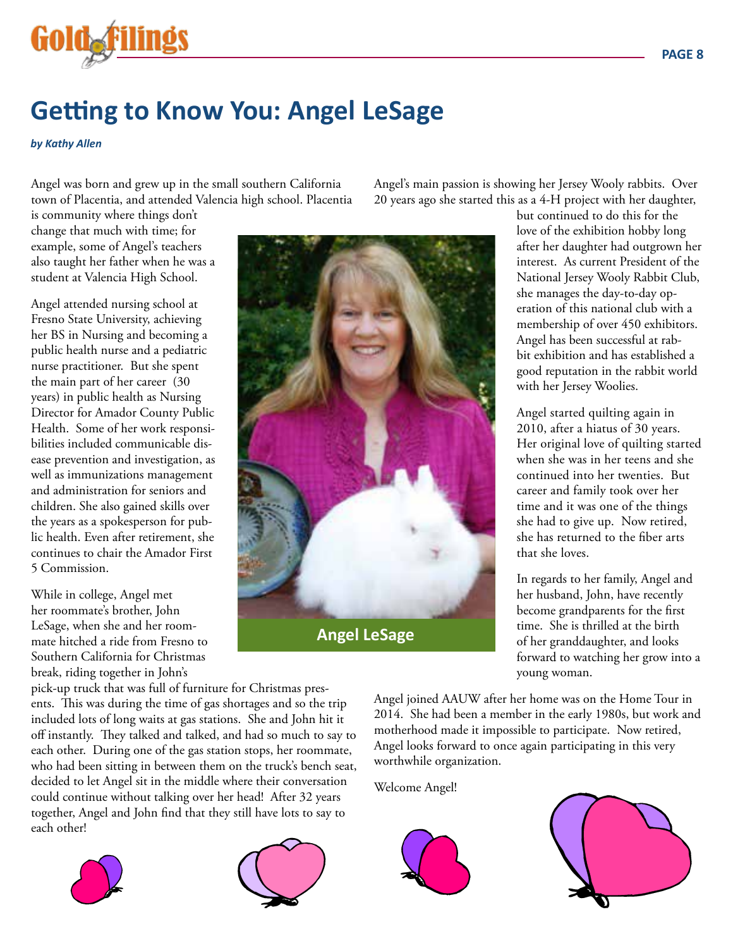

# **Getting to Know You: Angel LeSage**

#### *by Kathy Allen*

Angel was born and grew up in the small southern California town of Placentia, and attended Valencia high school. Placentia

is community where things don't change that much with time; for example, some of Angel's teachers also taught her father when he was a student at Valencia High School.

Angel attended nursing school at Fresno State University, achieving her BS in Nursing and becoming a public health nurse and a pediatric nurse practitioner. But she spent the main part of her career (30 years) in public health as Nursing Director for Amador County Public Health. Some of her work responsibilities included communicable disease prevention and investigation, as well as immunizations management and administration for seniors and children. She also gained skills over the years as a spokesperson for public health. Even after retirement, she continues to chair the Amador First 5 Commission.

While in college, Angel met her roommate's brother, John LeSage, when she and her roommate hitched a ride from Fresno to Southern California for Christmas break, riding together in John's

pick-up truck that was full of furniture for Christmas presents. This was during the time of gas shortages and so the trip included lots of long waits at gas stations. She and John hit it off instantly. They talked and talked, and had so much to say to each other. During one of the gas station stops, her roommate, who had been sitting in between them on the truck's bench seat, decided to let Angel sit in the middle where their conversation could continue without talking over her head! After 32 years together, Angel and John find that they still have lots to say to each other!





Angel's main passion is showing her Jersey Wooly rabbits. Over 20 years ago she started this as a 4-H project with her daughter,



but continued to do this for the love of the exhibition hobby long after her daughter had outgrown her interest. As current President of the National Jersey Wooly Rabbit Club, she manages the day-to-day operation of this national club with a membership of over 450 exhibitors. Angel has been successful at rabbit exhibition and has established a good reputation in the rabbit world with her Jersey Woolies.

Angel started quilting again in 2010, after a hiatus of 30 years. Her original love of quilting started when she was in her teens and she continued into her twenties. But career and family took over her time and it was one of the things she had to give up. Now retired, she has returned to the fiber arts that she loves.

In regards to her family, Angel and her husband, John, have recently become grandparents for the first time. She is thrilled at the birth of her granddaughter, and looks forward to watching her grow into a young woman.

Angel joined AAUW after her home was on the Home Tour in 2014. She had been a member in the early 1980s, but work and motherhood made it impossible to participate. Now retired, Angel looks forward to once again participating in this very worthwhile organization.

Welcome Angel!



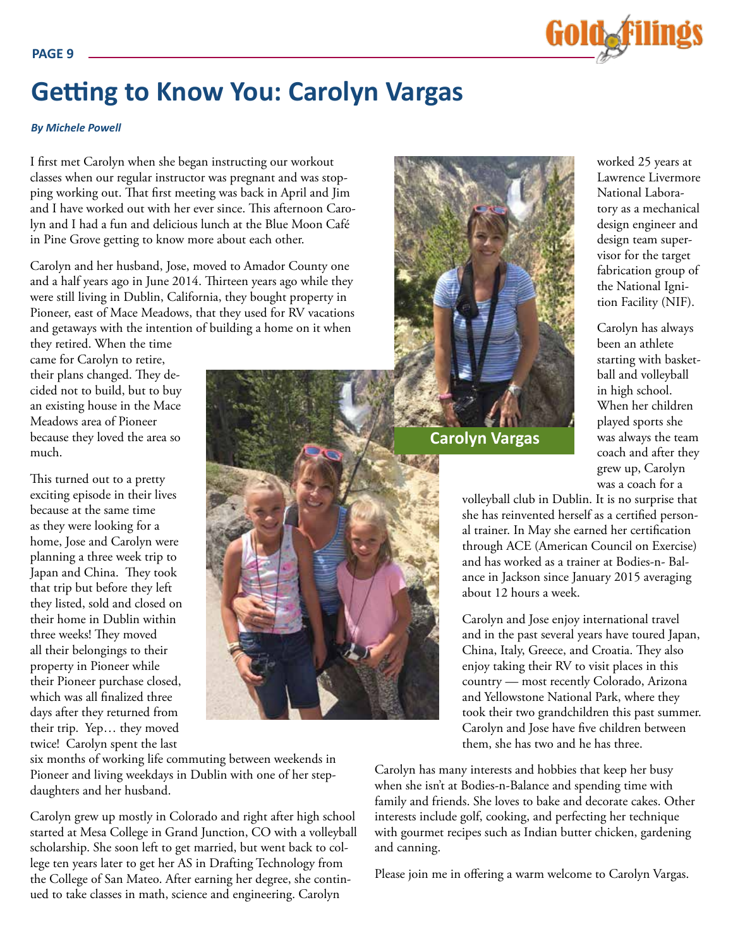

# **Getting to Know You: Carolyn Vargas**

#### *By Michele Powell*

I first met Carolyn when she began instructing our workout classes when our regular instructor was pregnant and was stopping working out. That first meeting was back in April and Jim and I have worked out with her ever since. This afternoon Carolyn and I had a fun and delicious lunch at the Blue Moon Café in Pine Grove getting to know more about each other.

Carolyn and her husband, Jose, moved to Amador County one and a half years ago in June 2014. Thirteen years ago while they were still living in Dublin, California, they bought property in Pioneer, east of Mace Meadows, that they used for RV vacations and getaways with the intention of building a home on it when

they retired. When the time came for Carolyn to retire, their plans changed. They decided not to build, but to buy an existing house in the Mace Meadows area of Pioneer because they loved the area so much.

This turned out to a pretty exciting episode in their lives because at the same time as they were looking for a home, Jose and Carolyn were planning a three week trip to Japan and China. They took that trip but before they left they listed, sold and closed on their home in Dublin within three weeks! They moved all their belongings to their property in Pioneer while their Pioneer purchase closed, which was all finalized three days after they returned from their trip. Yep… they moved twice! Carolyn spent the last



**Carolyn Vargas**

worked 25 years at Lawrence Livermore National Laboratory as a mechanical design engineer and design team supervisor for the target fabrication group of the National Ignition Facility (NIF).

Carolyn has always been an athlete starting with basketball and volleyball in high school. When her children played sports she was always the team coach and after they grew up, Carolyn was a coach for a

volleyball club in Dublin. It is no surprise that she has reinvented herself as a certified personal trainer. In May she earned her certification through ACE (American Council on Exercise) and has worked as a trainer at Bodies-n- Balance in Jackson since January 2015 averaging about 12 hours a week.

Carolyn and Jose enjoy international travel and in the past several years have toured Japan, China, Italy, Greece, and Croatia. They also enjoy taking their RV to visit places in this country — most recently Colorado, Arizona and Yellowstone National Park, where they took their two grandchildren this past summer. Carolyn and Jose have five children between them, she has two and he has three.

six months of working life commuting between weekends in Pioneer and living weekdays in Dublin with one of her stepdaughters and her husband.

Carolyn grew up mostly in Colorado and right after high school started at Mesa College in Grand Junction, CO with a volleyball scholarship. She soon left to get married, but went back to college ten years later to get her AS in Drafting Technology from the College of San Mateo. After earning her degree, she continued to take classes in math, science and engineering. Carolyn

Carolyn has many interests and hobbies that keep her busy when she isn't at Bodies-n-Balance and spending time with family and friends. She loves to bake and decorate cakes. Other interests include golf, cooking, and perfecting her technique with gourmet recipes such as Indian butter chicken, gardening and canning.

Please join me in offering a warm welcome to Carolyn Vargas.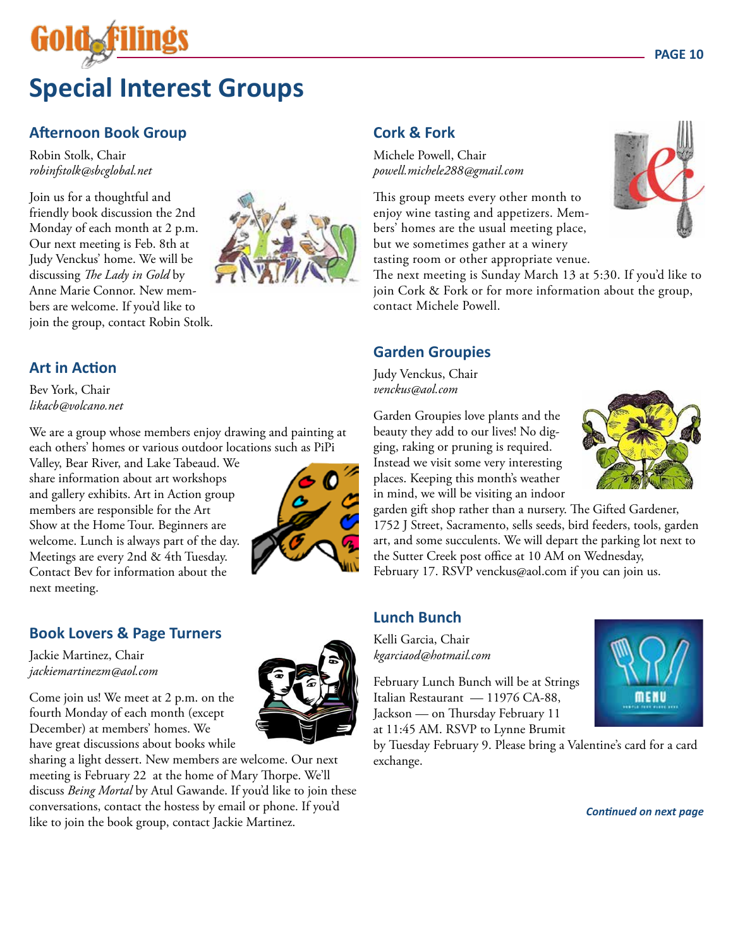# **Special Interest Groups**

# **Afternoon Book Group**

Robin Stolk, Chair *robinfstolk@sbcglobal.net*

Join us for a thoughtful and friendly book discussion the 2nd Monday of each month at 2 p.m. Our next meeting is Feb. 8th at Judy Venckus' home. We will be discussing *The Lady in Gold* by Anne Marie Connor. New members are welcome. If you'd like to join the group, contact Robin Stolk.



#### **Art in Action**

Bev York, Chair *likacb@volcano.net*

We are a group whose members enjoy drawing and painting at each others' homes or various outdoor locations such as PiPi

Valley, Bear River, and Lake Tabeaud. We share information about art workshops and gallery exhibits. Art in Action group members are responsible for the Art Show at the Home Tour. Beginners are welcome. Lunch is always part of the day. Meetings are every 2nd & 4th Tuesday. Contact Bev for information about the next meeting.



# **Book Lovers & Page Turners**

Jackie Martinez, Chair *jackiemartinezm@aol.com*

Come join us! We meet at 2 p.m. on the fourth Monday of each month (except December) at members' homes. We have great discussions about books while

sharing a light dessert. New members are welcome. Our next meeting is February 22 at the home of Mary Thorpe. We'll discuss *Being Mortal* by Atul Gawande. If you'd like to join these conversations, contact the hostess by email or phone. If you'd conversations, contact the hostess by email or phone. If you'd<br>like to join the book group, contact Jackie Martinez.

# **Cork & Fork**

Michele Powell, Chair *powell.michele288@gmail.com*

This group meets every other month to enjoy wine tasting and appetizers. Members' homes are the usual meeting place, but we sometimes gather at a winery tasting room or other appropriate venue.

The next meeting is Sunday March 13 at 5:30. If you'd like to join Cork & Fork or for more information about the group, contact Michele Powell.

#### **Garden Groupies**

Judy Venckus, Chair *venckus@aol.com*

Garden Groupies love plants and the beauty they add to our lives! No digging, raking or pruning is required. Instead we visit some very interesting places. Keeping this month's weather in mind, we will be visiting an indoor



garden gift shop rather than a nursery. The Gifted Gardener, 1752 J Street, Sacramento, sells seeds, bird feeders, tools, garden art, and some succulents. We will depart the parking lot next to the Sutter Creek post office at 10 AM on Wednesday, February 17. RSVP venckus@aol.com if you can join us.

#### **Lunch Bunch**

Kelli Garcia, Chair *kgarciaod@hotmail.com* 

February Lunch Bunch will be at Strings Italian Restaurant — 11976 CA-88, Jackson — on Thursday February 11 at 11:45 AM. RSVP to Lynne Brumit



by Tuesday February 9. Please bring a Valentine's card for a card exchange.